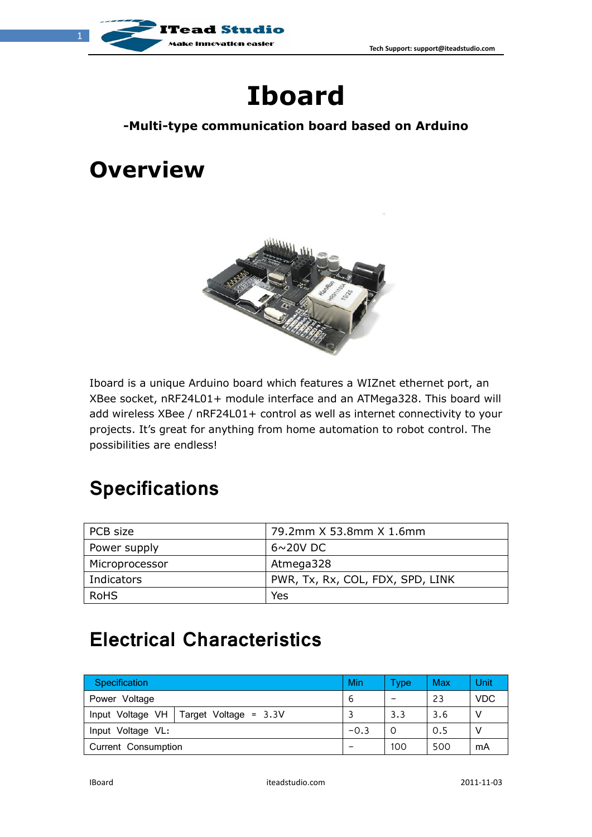

# **Iboard**

#### **-Multi-type communication board based on Arduino**

## **Overview**



Iboard is a unique Arduino board which features a WIZnet ethernet port, an XBee socket, nRF24L01+ module interface and an ATMega328. This board will add wireless XBee / nRF24L01+ control as well as internet connectivity to your projects. It's great for anything from home automation to robot control. The possibilities are endless!

#### **Specifications**

| PCB size       | 79.2mm X 53.8mm X 1.6mm          |
|----------------|----------------------------------|
| Power supply   | $6 \sim 20$ V DC                 |
| Microprocessor | Atmega328                        |
| Indicators     | PWR, Tx, Rx, COL, FDX, SPD, LINK |
| RoHS           | Yes                              |

#### **Electrical Characteristics**

| <b>Specification</b>                     | Min    | Type    | Max | Unit       |
|------------------------------------------|--------|---------|-----|------------|
| Power Voltage                            | b      | -       | 23  | <b>VDC</b> |
| Input Voltage VH   Target Voltage = 3.3V |        | 3.3     | 3.6 |            |
| Input Voltage VL:                        | $-0.3$ | $\circ$ | 0.5 |            |
| Current Consumption                      |        | 100     | 500 | mA         |